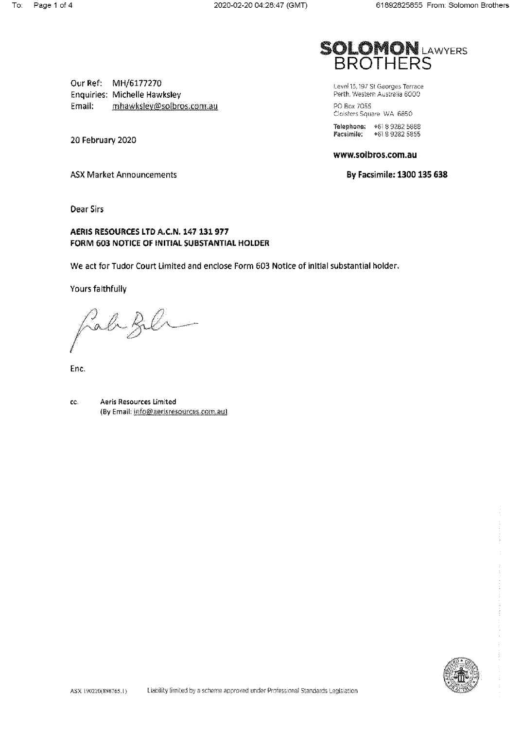Our Ref: MH/6177270 **Enquiries: Michelle Hawksley** Email: mhawksley@solbros.com.au

20 February 2020



Level 15, 197 St Georges Terrace Perth, Western Australia 6000 PO Box 7055 Cloisters Square WA 6850 Telephone: +618 9282 5888<br>Facsimile: +618 9282 5855

## www.solbros.com.au

By Facsimile: 1300 135 638

**ASX Market Announcements** 

**Dear Sirs** 

# AERIS RESOURCES LTD A.C.N. 147 131 977 FORM 603 NOTICE OF INITIAL SUBSTANTIAL HOLDER

We act for Tudor Court Limited and enclose Form 603 Notice of initial substantial holder.

Yours faithfully

Lab fil

Enc.

cc. Aeris Resources Limited (By Email: info@aerisresources.com.au)

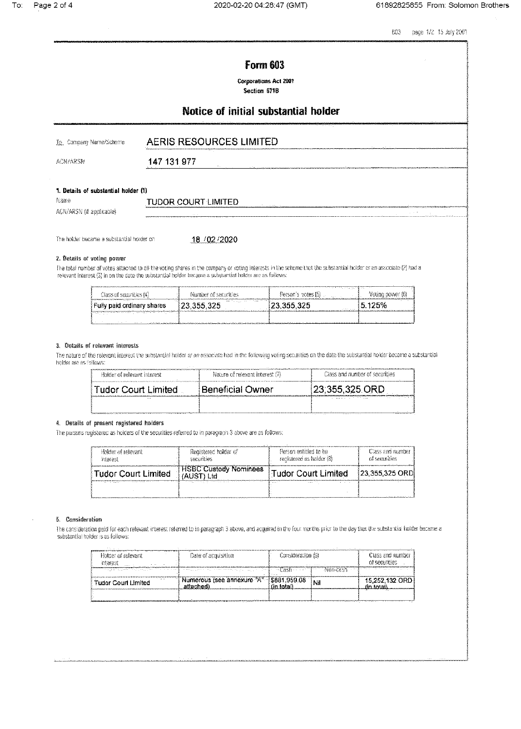$603$ page 1/2 15 July 2001

# **Form 603**

**Corporations Act 2001** Section 671B

# Notice of initial substantial holder

| To Company Name/Scheme | <b>AERIS RESOURCES LIMITED</b><br>Account the company's construction of the company's company's and the |
|------------------------|---------------------------------------------------------------------------------------------------------|
| ACN/ARSN               | 147 131 977                                                                                             |

## 1. Details of substantial holder (1)

| Name                     | TUDOR COURT L.<br><b>IMITED</b><br>$\cdots$ |  |
|--------------------------|---------------------------------------------|--|
| ACN/ARSN (if applicable) | <b>A</b> 15                                 |  |
|                          |                                             |  |

The holder became a substantial holder on

18 / 02 / 2020

## 2. Details of voting power

The total number of votes attached to all the voting shares in the company or voting interests in the scheme that the substantial holder or an associate (?) had a relevant interest (3) in on the cate the substantial holder became a substantial holder are as follows:

| Class of securities [4].                                                | Namber of securities | and the state of the state of the state of the state of the state of the state of the state of the state of the<br>- Person's votes [5) | Voting cower (6) |
|-------------------------------------------------------------------------|----------------------|-----------------------------------------------------------------------------------------------------------------------------------------|------------------|
| Fully paid ordinary shares                                              | 123.355.325          | 23.355.325                                                                                                                              | 15.125%          |
| <b>Account the construction of the construction of the construction</b> |                      |                                                                                                                                         |                  |

#### 3. Details of relevant interests

The nature of the relevant interest the substantial holder or an associate had in the following voting securities on the date the substantial holder became a substantial holder are as follows:

| Holder of relevant interest | Nature of relevant interest (7). | Class and number of securities |
|-----------------------------|----------------------------------|--------------------------------|
| l Tudor Court Limited       | <b>Beneficial Owner</b>          | $(23,355,325)$ ORD             |
|                             |                                  |                                |

#### 4. Details of present registered holders

The persons registered as holders of the securities referred to in paragraph 3 above are as follows:

| Holder of relevant<br>interest                      | Registered holder of<br>securities | Person entitled to be<br>recistered as holder (8) | Class and number<br>of securities                                                                               |
|-----------------------------------------------------|------------------------------------|---------------------------------------------------|-----------------------------------------------------------------------------------------------------------------|
| Tudor Court Limited                                 | <b>HSBC Custody Nominees</b>       | Tudor Court Limited                               | 123,355,325 ORD                                                                                                 |
| ______________<br>and the company of the company of |                                    | 1.111                                             | the contract of the contract of the contract of the contract of the contract of the contract of the contract of |

#### 5. Consideration

The consideration paid for each relevant interest referred to in paragraph 3 above, and acquired in the four months prior to the day that the substantial holder became a substantial holder is as follows:

| Holder of relevant<br>interast                                                  | Date of acquisition                      | Consideration (9) |          |                |  | Class and number<br>of securities |
|---------------------------------------------------------------------------------|------------------------------------------|-------------------|----------|----------------|--|-----------------------------------|
| the second group of the product and control of the second control of the second |                                          |                   | Non-cash |                |  |                                   |
| $\mathbf{a}$<br><b>Tudor Court Limited</b>                                      | Numerous (see annexure "A" {\$881,959.08 |                   |          | 15,252,132.ORD |  |                                   |
|                                                                                 |                                          |                   |          |                |  |                                   |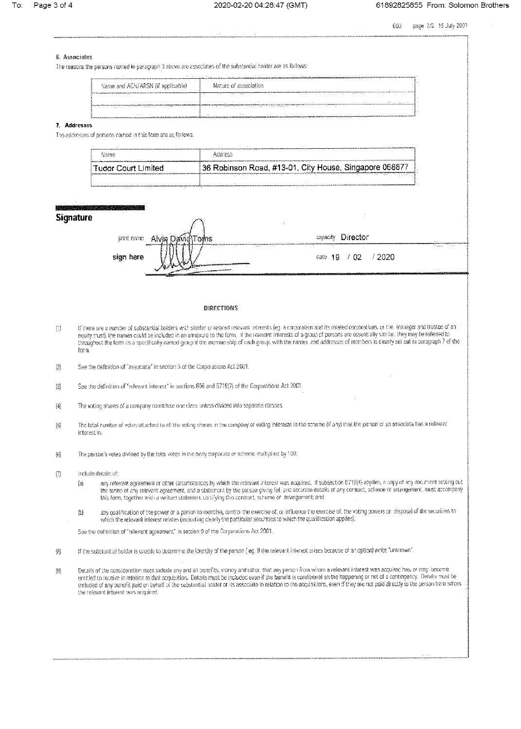page 2/2 15 July 2001 603

#### 6. Associates

The reasons the persons named in peragraph 3 above are associates of the substantial holder are as follows:

|                                                                                           | http://www.action.com/action/action/action/action/                                                                                                                                                                                                                                                                                                                                                                                                                                                                                                             |  |
|-------------------------------------------------------------------------------------------|----------------------------------------------------------------------------------------------------------------------------------------------------------------------------------------------------------------------------------------------------------------------------------------------------------------------------------------------------------------------------------------------------------------------------------------------------------------------------------------------------------------------------------------------------------------|--|
| Name and ACN/ARSN (if applicable)                                                         | Nature of association                                                                                                                                                                                                                                                                                                                                                                                                                                                                                                                                          |  |
|                                                                                           | $\label{eq:1} \begin{minipage}{0.9\textwidth} \begin{minipage}{0.9\textwidth} \centering \begin{minipage}{0.9\textwidth} \centering \end{minipage} \begin{minipage}{0.9\textwidth} \centering \begin{minipage}{0.9\textwidth} \centering \end{minipage} \begin{minipage}{0.9\textwidth} \centering \end{minipage} \begin{minipage}{0.9\textwidth} \centering \end{minipage} \begin{minipage}{0.9\textwidth} \centering \end{minipage} \begin{minipage}{0.9\textwidth} \centering \end{minipage} \begin{minipage}{0.9\textwidth} \centering \end{min$<br>.<br>. |  |
|                                                                                           | $1.1 - 1.$                                                                                                                                                                                                                                                                                                                                                                                                                                                                                                                                                     |  |
| and the contract of the con-                                                              | his color administration to a major control of the set of the state of the second convenience of the set of the complete<br><br>The company of the control of the company of the company of the company of the company of the company of the company of the company of the company of the company of the company of the company of the company of the company                                                                                                                                                                                                  |  |
| <b>The Contract Committee Committee Committee Committee Committee Committee Committee</b> | <br>-internet<br>EXPERIMENTAL DE POPULATION DE COMPUTATION DE L'ANNO DES COMPUTATIONS DE L'ANNO DE L'ANNO DE L'ANNO DE L'ANNO D                                                                                                                                                                                                                                                                                                                                                                                                                                |  |

### 7. Addresses

The addresses of persons named in this form are as follows:

| Name                  | AQQTESS -                                              |
|-----------------------|--------------------------------------------------------|
| l Tudor Court Limited | 36 Robinson Road, #13-01, City House, Singapore 068877 |
|                       | $\overline{\phantom{a}}$                               |

## **Signature**

| print name |                                             | $\sim$<br>capacity Director                                                                                                                                                                                                                                                                                                                                                                                                   |                                                |
|------------|---------------------------------------------|-------------------------------------------------------------------------------------------------------------------------------------------------------------------------------------------------------------------------------------------------------------------------------------------------------------------------------------------------------------------------------------------------------------------------------|------------------------------------------------|
| sign here  | <b>Statement of the American Statements</b> | $\label{eq:3} \begin{split} &\mathcal{L}_{\text{1D}} = \frac{1}{2} \sum_{i=1}^{2} \frac{1}{2} \sum_{i=1}^{2} \frac{1}{2} \sum_{i=1}^{2} \frac{1}{2} \sum_{i=1}^{2} \frac{1}{2} \sum_{i=1}^{2} \frac{1}{2} \sum_{i=1}^{2} \frac{1}{2} \sum_{i=1}^{2} \frac{1}{2} \sum_{i=1}^{2} \frac{1}{2} \sum_{i=1}^{2} \frac{1}{2} \sum_{i=1}^{2} \frac{1}{2} \sum_{i=1}^{2} \frac{1}{2}$<br>.<br>$\sim$ $\sim$<br>/2020<br>cate $19 / 02$ | <b>CONTRACTOR</b><br>Thermometer of the<br>. . |
|            | <b>Automobilität Schwarzer</b>              |                                                                                                                                                                                                                                                                                                                                                                                                                               |                                                |

#### **DIRECTIONS**

- If there are a number of substantial holders with similar or related relevant interests (eg a corporation and its related corporations, or the manager and trustee of an  $\left\{ \begin{matrix} 1\\ 1 \end{matrix} \right\}$ equity trust), the names could be included in an annexure to the form. If the relevant interests of a group of persons are essentially similar, they may be referred to throughout the form as a specifically named group if the membership of each group, with the names and addresses of members is clearly set out in paragraph 7 of the form.
- $(2)$ See the definition of "associate" in section 9 of the Corporations Act 2001.

See the definition of "relevant interest" in sections 608 and 671B(7) of the Corporations Act 2001.  $\langle \hat{3} \rangle$ 

儞 The voting shares of a company constitute one class unless divided into separate classes.

- The total number of votes attached to all the voting shares in the company or voting interests in the scheme (if any) that the person or an associate has a relevant interest in.
- The person's votes divided by the total votes in the body corporate or scheme multiplied by 100.  $\left\langle \hat{c} \right\rangle$
- $\left\{ \begin{smallmatrix} 0 \\ 1 \end{smallmatrix} \right\}$ Include details of:
	- any relevant agreement or other circumstances by which the relevant interest was acquired. If subsection 6718(4) applies, a copy of any document setting out  $\{3\}$ the terms of any relevant agreement, and a statement by the parson giving full and accurate details of any contract, scheme or arrangement, must accompany this form, together with a written statement certifying this contract, scheme or arrangement; and
	- any qualification of the power of a person to exercise, control the exercise of, or influence the exercise of, the voting powers or disposal of the securities to<br>which the relevant interest relates (indicating clearly the  $\langle \mathbf{b} \rangle$

See the definition of "relevant agreement" in section 9 of the Corporations Act 2001.

- $\left\langle 3\right\rangle$ If the substantial holder is unable to determine the Identity of the person (eg. if the relevant interest arises because of an option) write "unknown"
- Details of the consideration must include any and all benefits, money and other, that any person from whom a relevant interest was acquired has, or may, become<br>entitled to receive in relation to that acquisition, Details m  $\left\langle \Omega \right\rangle$ included of any benefit paid on behalf of the substantial holder or its associate in relation to the acquisitions, even if they are not paid directly to the person trem whom the relevant interest was acquired.